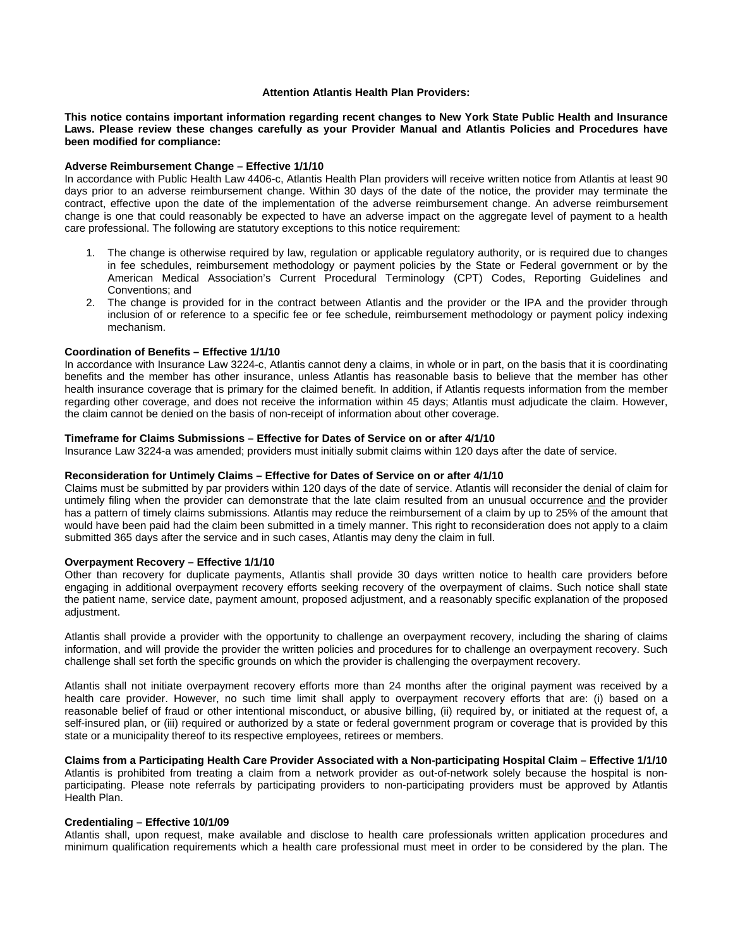## **Attention Atlantis Health Plan Providers:**

**This notice contains important information regarding recent changes to New York State Public Health and Insurance Laws. Please review these changes carefully as your Provider Manual and Atlantis Policies and Procedures have been modified for compliance:** 

### **Adverse Reimbursement Change – Effective 1/1/10**

In accordance with Public Health Law 4406-c, Atlantis Health Plan providers will receive written notice from Atlantis at least 90 days prior to an adverse reimbursement change. Within 30 days of the date of the notice, the provider may terminate the contract, effective upon the date of the implementation of the adverse reimbursement change. An adverse reimbursement change is one that could reasonably be expected to have an adverse impact on the aggregate level of payment to a health care professional. The following are statutory exceptions to this notice requirement:

- 1. The change is otherwise required by law, regulation or applicable regulatory authority, or is required due to changes in fee schedules, reimbursement methodology or payment policies by the State or Federal government or by the American Medical Association's Current Procedural Terminology (CPT) Codes, Reporting Guidelines and Conventions; and
- 2. The change is provided for in the contract between Atlantis and the provider or the IPA and the provider through inclusion of or reference to a specific fee or fee schedule, reimbursement methodology or payment policy indexing mechanism.

## **Coordination of Benefits – Effective 1/1/10**

In accordance with Insurance Law 3224-c, Atlantis cannot deny a claims, in whole or in part, on the basis that it is coordinating benefits and the member has other insurance, unless Atlantis has reasonable basis to believe that the member has other health insurance coverage that is primary for the claimed benefit. In addition, if Atlantis requests information from the member regarding other coverage, and does not receive the information within 45 days; Atlantis must adjudicate the claim. However, the claim cannot be denied on the basis of non-receipt of information about other coverage.

## **Timeframe for Claims Submissions – Effective for Dates of Service on or after 4/1/10**

Insurance Law 3224-a was amended; providers must initially submit claims within 120 days after the date of service.

#### **Reconsideration for Untimely Claims – Effective for Dates of Service on or after 4/1/10**

Claims must be submitted by par providers within 120 days of the date of service. Atlantis will reconsider the denial of claim for untimely filing when the provider can demonstrate that the late claim resulted from an unusual occurrence and the provider has a pattern of timely claims submissions. Atlantis may reduce the reimbursement of a claim by up to 25% of the amount that would have been paid had the claim been submitted in a timely manner. This right to reconsideration does not apply to a claim submitted 365 days after the service and in such cases, Atlantis may deny the claim in full.

#### **Overpayment Recovery – Effective 1/1/10**

Other than recovery for duplicate payments, Atlantis shall provide 30 days written notice to health care providers before engaging in additional overpayment recovery efforts seeking recovery of the overpayment of claims. Such notice shall state the patient name, service date, payment amount, proposed adjustment, and a reasonably specific explanation of the proposed adjustment.

Atlantis shall provide a provider with the opportunity to challenge an overpayment recovery, including the sharing of claims information, and will provide the provider the written policies and procedures for to challenge an overpayment recovery. Such challenge shall set forth the specific grounds on which the provider is challenging the overpayment recovery.

Atlantis shall not initiate overpayment recovery efforts more than 24 months after the original payment was received by a health care provider. However, no such time limit shall apply to overpayment recovery efforts that are: (i) based on a reasonable belief of fraud or other intentional misconduct, or abusive billing, (ii) required by, or initiated at the request of, a self-insured plan, or (iii) required or authorized by a state or federal government program or coverage that is provided by this state or a municipality thereof to its respective employees, retirees or members.

#### **Claims from a Participating Health Care Provider Associated with a Non-participating Hospital Claim – Effective 1/1/10**

Atlantis is prohibited from treating a claim from a network provider as out-of-network solely because the hospital is nonparticipating. Please note referrals by participating providers to non-participating providers must be approved by Atlantis Health Plan.

# **Credentialing – Effective 10/1/09**

Atlantis shall, upon request, make available and disclose to health care professionals written application procedures and minimum qualification requirements which a health care professional must meet in order to be considered by the plan. The